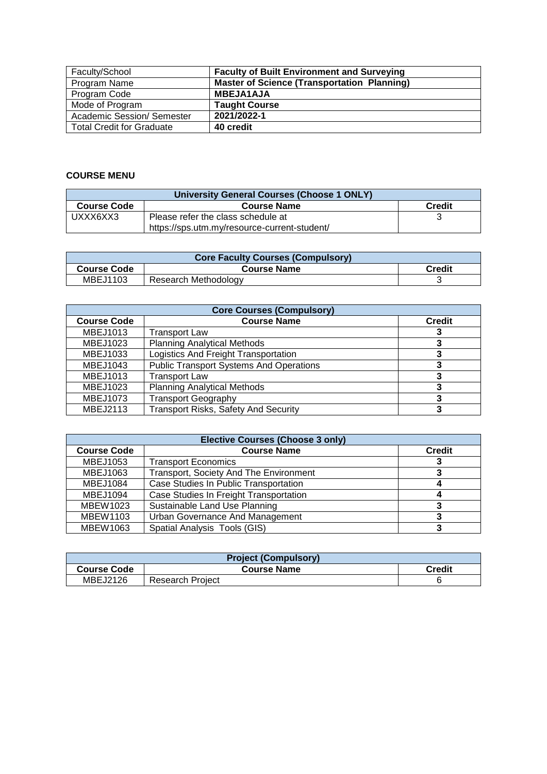| Faculty/School                    | <b>Faculty of Built Environment and Surveying</b>  |
|-----------------------------------|----------------------------------------------------|
| Program Name                      | <b>Master of Science (Transportation Planning)</b> |
| Program Code                      | <b>MBEJA1AJA</b>                                   |
| Mode of Program                   | <b>Taught Course</b>                               |
| <b>Academic Session/ Semester</b> | 2021/2022-1                                        |
| <b>Total Credit for Graduate</b>  | 40 credit                                          |

## **COURSE MENU**

| University General Courses (Choose 1 ONLY)                |                                              |  |  |
|-----------------------------------------------------------|----------------------------------------------|--|--|
| <b>Credit</b><br><b>Course Code</b><br><b>Course Name</b> |                                              |  |  |
| UXXX6XX3                                                  | Please refer the class schedule at           |  |  |
|                                                           | https://sps.utm.my/resource-current-student/ |  |  |

| <b>Core Faculty Courses (Compulsory)</b> |                      |               |  |
|------------------------------------------|----------------------|---------------|--|
| <b>Course Code</b>                       | <b>Course Name</b>   | <b>Credit</b> |  |
| MBEJ1103                                 | Research Methodology |               |  |

| <b>Core Courses (Compulsory)</b> |                                                |  |  |
|----------------------------------|------------------------------------------------|--|--|
| <b>Course Code</b>               | <b>Course Name</b><br><b>Credit</b>            |  |  |
| MBEJ1013                         | <b>Transport Law</b>                           |  |  |
| MBEJ1023                         | <b>Planning Analytical Methods</b>             |  |  |
| MBEJ1033                         | Logistics And Freight Transportation           |  |  |
| MBEJ1043                         | <b>Public Transport Systems And Operations</b> |  |  |
| MBEJ1013                         | <b>Transport Law</b>                           |  |  |
| MBEJ1023                         | <b>Planning Analytical Methods</b>             |  |  |
| <b>MBEJ1073</b>                  | <b>Transport Geography</b>                     |  |  |
| MBEJ2113                         | <b>Transport Risks, Safety And Security</b>    |  |  |

| <b>Elective Courses (Choose 3 only)</b> |                                               |  |  |
|-----------------------------------------|-----------------------------------------------|--|--|
| <b>Course Code</b>                      | <b>Course Name</b><br><b>Credit</b>           |  |  |
| MBEJ1053                                | <b>Transport Economics</b>                    |  |  |
| MBEJ1063                                | <b>Transport, Society And The Environment</b> |  |  |
| MBEJ1084                                | Case Studies In Public Transportation         |  |  |
| MBEJ1094                                | Case Studies In Freight Transportation        |  |  |
| MBEW1023                                | Sustainable Land Use Planning                 |  |  |
| <b>MBEW1103</b>                         | Urban Governance And Management               |  |  |
| MBEW1063                                | Spatial Analysis Tools (GIS)                  |  |  |

| <b>Project (Compulsory)</b> |                         |               |  |
|-----------------------------|-------------------------|---------------|--|
| <b>Course Code</b>          | <b>Course Name</b>      | <b>Credit</b> |  |
| MBEJ2126                    | <b>Research Project</b> |               |  |